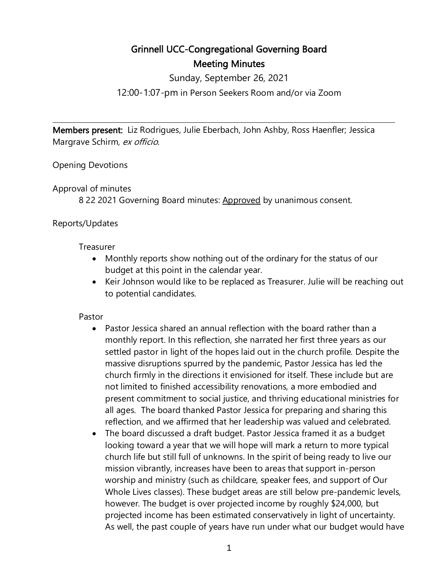# Grinnell UCC-Congregational Governing Board Meeting Minutes

Sunday, September 26, 2021

12:00-1:07-pm in Person Seekers Room and/or via Zoom

l

Members present: Liz Rodrigues, Julie Eberbach, John Ashby, Ross Haenfler; Jessica Margrave Schirm, ex officio.

Opening Devotions

#### Approval of minutes

8 22 2021 Governing Board minutes: Approved by unanimous consent.

#### Reports/Updates

#### Treasurer

- Monthly reports show nothing out of the ordinary for the status of our budget at this point in the calendar year.
- Keir Johnson would like to be replaced as Treasurer. Julie will be reaching out to potential candidates.

#### Pastor

- Pastor Jessica shared an annual reflection with the board rather than a monthly report. In this reflection, she narrated her first three years as our settled pastor in light of the hopes laid out in the church profile. Despite the massive disruptions spurred by the pandemic, Pastor Jessica has led the church firmly in the directions it envisioned for itself. These include but are not limited to finished accessibility renovations, a more embodied and present commitment to social justice, and thriving educational ministries for all ages. The board thanked Pastor Jessica for preparing and sharing this reflection, and we affirmed that her leadership was valued and celebrated.
- The board discussed a draft budget. Pastor Jessica framed it as a budget looking toward a year that we will hope will mark a return to more typical church life but still full of unknowns. In the spirit of being ready to live our mission vibrantly, increases have been to areas that support in-person worship and ministry (such as childcare, speaker fees, and support of Our Whole Lives classes). These budget areas are still below pre-pandemic levels, however. The budget is over projected income by roughly \$24,000, but projected income has been estimated conservatively in light of uncertainty. As well, the past couple of years have run under what our budget would have